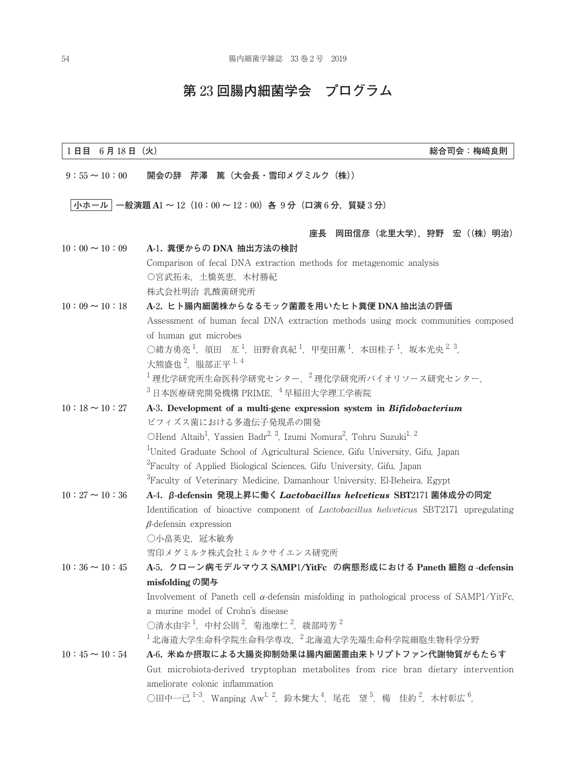## **第** 23 **回腸内細菌学会 プログラム**

# 1 **日目** 6 **月** 18 **日(火) 総合司会:梅﨑良則** 9**:**55 **~** 10**:**00 **開会の辞 芹澤 篤(大会長・雪印メグミルク(株)) 小ホール 一般演題 A**1 **~** 12**(**10**:**00 **~** 12**:**00**)各** 9 **分(口演** 6 **分,質疑** 3 **分) 座長 岡田信彦(北里大学),狩野 宏((株)明治)** 10**:**00 **~** 10**:**09 **A-**1**. 糞便からの DNA 抽出方法の検討** Comparison of fecal DNA extraction methods for metagenomic analysis 〇宮武拓未,土橋英恵,木村勝紀 株式会社明治 乳酸菌研究所 10**:**09 **~** 10**:**18 **A-**2**. ヒト腸内細菌株からなるモック菌叢を用いたヒト糞便 DNA 抽出法の評価** Assessment of human fecal DNA extraction methods using mock communities composed of human gut microbes ○緒方勇亮  $^1$ ,須田 亙  $^1$ ,田野倉真紀  $^1$ ,甲斐田薫  $^1$ ,本田桂子  $^1$ ,坂本光央  $^2$   $^3$  , 大熊盛也 $^2$ ,服部正平 $^1$ .4  $^{-1}$ 理化学研究由企業研究センター,  $^{-2}$ 理化学研究所バイオリソース研究センター,  $^3$  日本医療研究開発機構 PRIME,  $^4$  早稲田大学理工学術院 10**:**18 **~** 10**:**27 **A-**3**. Development of a multi-gene expression system in** *Bifidobacterium* ビフィズス菌における多遺伝子発現系の開発 OHend Altaib<sup>1</sup>, Yassien Badr<sup>2, 3</sup>, Izumi Nomura<sup>2</sup>, Tohru Suzuki<sup>1, 2</sup> <sup>1</sup>United Graduate School of Agricultural Science, Gifu University, Gifu, Japan  ${}^{2}$ Faculty of Applied Biological Sciences, Gifu University, Gifu, Japan  $\rm{^{3}F}$ aculty of Veterinary Medicine, Damanhour University, El-Beheira, Egypt 10**:**27 **~** 10**:**36 **A-**4**. β-defensin 発現上昇に働く** *Lactobacillus helveticus* **SBT**2171 **菌体成分の同定** Identification of bioactive component of *Lactobacillus helveticus* SBT2171 upregulating  $\beta$ -defensin expression ○小畠英史,冠木敏秀 雪印メグミルク株式会社ミルクサイエンス研究所 10**:**36 **~** 10**:**45 **A-**5**. クローン病モデルマウス SAMP**1**/YitFc の病態形成における Paneth 細胞α-defensin misfolding の関与** Involvement of Paneth cell  $\alpha$ -defensin misfolding in pathological process of SAMP1/YitFc, a murine model of Crohn's disease ○清水由宇  $^1$ ,中村公則  $^2$ ,菊池摩仁  $^2$ ,綾部時芳  $^2$  $^{-1}$ 北海道大学生命科学院生命科学専攻,  $^{-2}$ 北海道大学先端生命科学院細胞生物科学分野 10**:**45 **~** 10**:**54 **A-**6**. 米ぬか摂取による大腸炎抑制効果は腸内細菌叢由来トリプトファン代謝物質がもたらす** Gut microbiota-derived tryptophan metabolites from rice bran dietary intervention ameliorate colonic inflammation ○田中一己 <sup>1-3</sup>,Wanping Aw<sup>1, 2</sup>,鈴木健大 <sup>4</sup>,尾花 望 <sup>5</sup>,楊 佳約 <sup>2</sup>,木村彰広 <sup>6</sup>,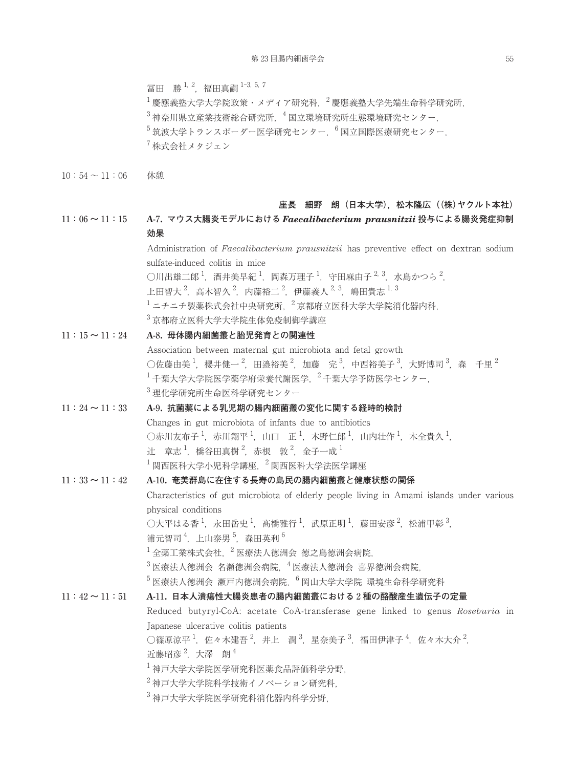冨田 勝<sup>1, 2</sup>, 福田真嗣 <sup>1-3, 5, 7</sup>

 $^{-1}$ 慶應義塾大学大学院政策・メディア研究科,  $^{-2}$ 慶應義塾大学先端生命科学研究所,  $3\pi$ 神奈川県立産業技術総合研究所,  $4\pi$ 国立環境研究生態環境研究センター,  $5\,$ 筑波大学トランスボーダー医学研究センター,  $^6$  国立国際医療研究センター,  $7$  株式会社メタジェン

 $10:54 \sim 11:06$  休憩

#### **座長 細野 朗(日本大学),松木隆広((株)ヤクルト本社)**

11**:**06 **~** 11**:**15 **A-**7**. マウス大腸炎モデルにおける** *Faecalibacterium prausnitzii* **投与による腸炎発症抑制 効果**

> Administration of *Faecalibacterium prausnitzii* has preventive effect on dextran sodium sulfate-induced colitis in mice ○川出雄二郎  $^1$ ,酒井美早紀  $^1$ ,岡森万理子  $^1$ ,守田麻由子  $^{2.3}$ ,水島かつら  $^2$ , 上田智大 <sup>2</sup>,高木智久 <sup>2</sup>,内藤裕二 <sup>2</sup>,伊藤義人 <sup>2, 3</sup>,嶋田貴志 <sup>1, 3</sup>  $^{-1}$ ニチニチ製薬株式会社中央研究所,  $^{-2}$ 京都府立医科大学大学院消化器内科, <sup>3</sup> 京都府立医科大学大学院生体免疫制御学講座

11**:**15 **~** 11**:**24 **A-**8**. 母体腸内細菌叢と胎児発育との関連性** Association between maternal gut microbiota and fetal growth ○佐藤由美  $^1$ ,櫻井健一  $^2$ ,田邉裕美  $^2$ ,加藤 完  $^3$ ,中西裕美子  $^3$ ,大野博司  $^3$ ,森 千里  $^2$  $^{-1}$ 千葉大学大学院医学薬学府栄養代謝医学,  $^{-2}$ 千葉大学予防医学センター, <sup>3</sup> 理化学研究所生命医科学研究センター

## 11**:**24 **~** 11**:**33 **A-**9**. 抗菌薬による乳児期の腸内細菌叢の変化に関する経時的検討** Changes in gut microbiota of infants due to antibiotics ○赤川友布子  $^1$ ,赤川翔平  $^1$ ,山口 正  $^1$ ,木野仁郎  $^1$ ,山内壮作  $^1$ ,木全貴久  $^1$ , 辻 章志 $^1$ , 橋谷田真樹 $^2$ , 赤根 敦 $^2$ , 金子一成 $^1$  $^{-1}$ 関西医科大学小児科学講座,  $^{-2}$ 関西医科大学法医学講座

## 11**:**33 **~** 11**:**42 **A-**10**. 奄美群島に在住する長寿の島民の腸内細菌叢と健康状態の関係** Characteristics of gut microbiota of elderly people living in Amami islands under various physical conditions ○大平はる香 <sup>1</sup>,永田岳史 <sup>1</sup>,髙橋雅行 <sup>1</sup>,武原正明 <sup>1</sup>,藤田安彦 <sup>2</sup>,松浦甲彰 <sup>3</sup>, 浦元智司<sup>4</sup>, 上山泰男<sup>5</sup>, 森田英利<sup>6</sup>  $^{-1}$ 全薬工業株式会社,  $^{-2}$ 医療法人徳洲会 徳之島徳洲会病院,  $3$  医療法人徳洲会 名瀬徳洲会病院,  $4$  医療法人徳洲会 喜界徳洲会病院,  $^5$ 医療法人徳洲会 瀬戸内徳洲会病院,  $^6$  岡山大学大学院 環境生命科学研究科 11**:**42 **~** 11**:**51 **A-**11**. 日本人潰瘍性大腸炎患者の腸内細菌叢における** 2 **種の酪酸産生遺伝子の定量** Reduced butyryl-CoA: acetate CoA-transferase gene linked to genus *Roseburia* in Japanese ulcerative colitis patients

○篠原涼平 <sup>1</sup>,佐々木建吾 <sup>2</sup>,井上 潤 <sup>3</sup>,星奈美子 <sup>3</sup>,福田伊津子 <sup>4</sup>,佐々木大介 <sup>2</sup>, 近藤昭彦<sup>2</sup>,大澤朗<sup>4</sup>

<sup>1</sup> 神戸大学大学院医学研究科医薬食品評価科学分野,

<sup>2</sup> 神戸大学大学院科学技術イノベーション研究科,

<sup>3</sup> 神戸大学大学院医学研究科消化器内科学分野,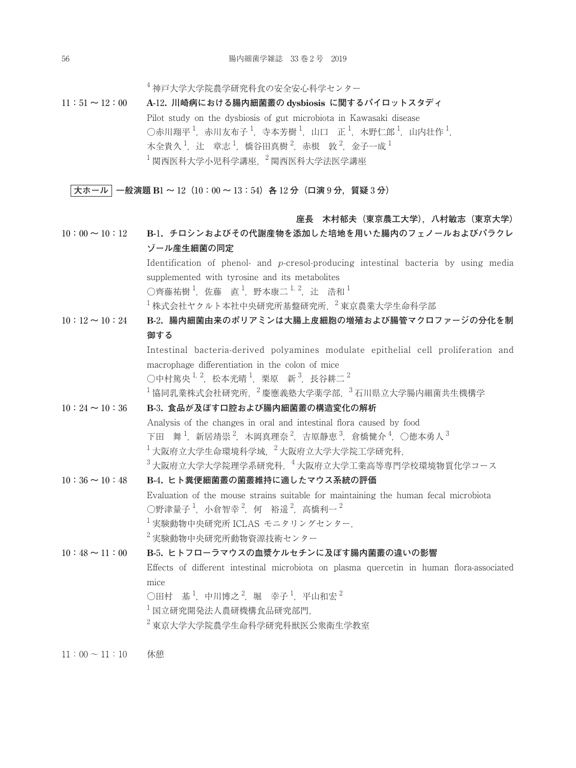<sup>4</sup> 神戸大学大学院農学研究科食の安全安心科学センター

11**:**51 **~** 12**:**00 **A-**12**. 川崎病における腸内細菌叢の dysbiosis に関するパイロットスタディ** Pilot study on the dysbiosis of gut microbiota in Kawasaki disease ○赤川翔平  $^1$ ,赤川友布子  $^1$ ,寺本芳樹  $^1$ ,山口 正  $^1$ ,木野仁郎  $^1$ ,山内壮作  $^1$ , 木全貴久 $^1$ ,辻 章志 $^1$ ,橋谷田真樹 $^2$ ,赤根 敦 $^2$ ,金子一成 $^1$  $^{-1}$ 関西医科大学小児科学講座,  $^{-2}$ 関西医科大学法医学講座

**大ホール 一般演題 B**1 **~** 12**(**10**:**00 **~** 13**:**54**)各** 12 **分(口演** 9 **分,質疑** 3 **分)**

### **座長 木村郁夫(東京農工大学),八村敏志(東京大学)**

10**:**00 **~** 10**:**12 **B-**1**. チロシンおよびその代謝産物を添加した培地を用いた腸内のフェノールおよびパラクレ ゾール産生細菌の同定** Identification of phenol- and *p*-cresol-producing intestinal bacteria by using media supplemented with tyrosine and its metabolites ○齊藤祐樹 <sup>1</sup>,佐藤 直 <sup>1</sup>,野本康二 <sup>1, 2</sup>,辻 浩和 <sup>1</sup>  $^{-1}$ 株式会社ヤクルト本社中央研究所基盤研究所,  $^{-2}$ 東京農業大学生命科学部

10**:**12 **~** 10**:**24 **B-**2**. 腸内細菌由来のポリアミンは大腸上皮細胞の増殖および腸管マクロファージの分化を制 御する**

> Intestinal bacteria-derived polyamines modulate epithelial cell proliferation and macrophage differentiation in the colon of mice

○中村篤央  $^{1, 2}$ ,松本光晴  $^{1}$ ,栗原 新  $^{3}$ ,長谷耕二  $^{2}$ 

 $^{-1}$ 協同乳業株式会社研究所,  $^{-2}$ 慶應義塾大学薬学部,  $^{-3}$ 石川県立大学腸内細菌共生機構学

10**:**24 **~** 10**:**36 **B-**3**. 食品が及ぼす口腔および腸内細菌叢の構造変化の解析**

Analysis of the changes in oral and intestinal flora caused by food 下田 舞  $^1$ ,新居靖崇  $^2$ ,木岡真理奈  $^2$ ,吉原静恵  $^3$ ,倉橋健介  $^4$ ,〇徳本勇人  $^3$  $^{-1}$ 大阪府立大学生命環境科学域, $^{-2}$ 大阪府立大学大学院工学研究科,

 $3$ 大阪府立大学大学院理学系研究科,  $4$ 大阪府立大学工業高等専門学校環境物質化学コース

10**:**36 **~** 10**:**48 **B-**4**. ヒト糞便細菌叢の菌叢維持に適したマウス系統の評価** Evaluation of the mouse strains suitable for maintaining the human fecal microbiota ○野津量子  $^1$ ,小倉智幸  $^2$ ,何 裕遥  $^2$ ,高橋利一  $^2$  $^{-1}$ 実験動物中央研究所 ICLAS モニタリングセンター,  $2$ 実験動物中央研究所動物資源技術センター

10**:**48 **~** 11**:**00 **B-**5**. ヒトフローラマウスの血漿ケルセチンに及ぼす腸内菌叢の違いの影響** Effects of different intestinal microbiota on plasma quercetin in human flora-associated mice  $\bigcirc$ 田村 基 $^1$ ,中川博之 $^2$ ,堀 幸子 $^1$ ,平山和宏 $^2$  $^{-1}$ 国立研究開発法人農研機構食品研究部門,  $^2$ 東京大学大学院農学生命科学研究科戦医公衆衛生学教室

 $11:00 \sim 11:10$  休憩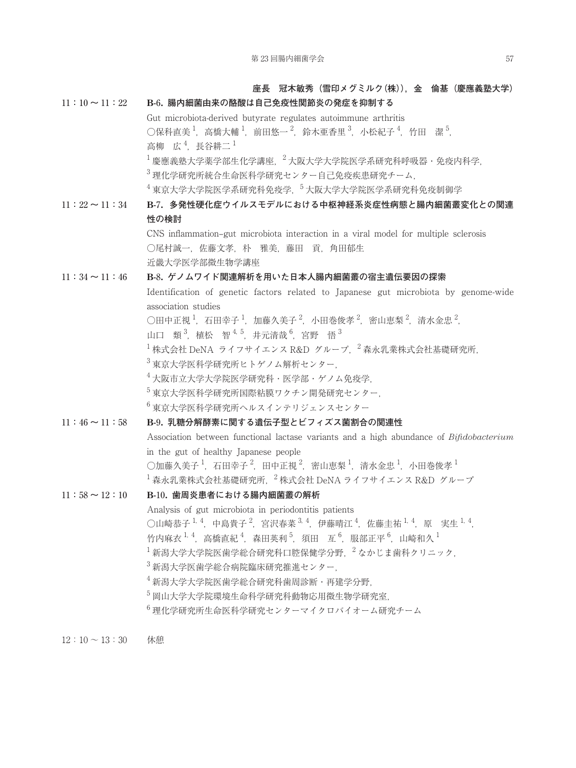**座長 冠木敏秀(雪印メグミルク(株)),金 倫基(慶應義塾大学)** 11**:**10 **~** 11**:**22 **B-**6**. 腸内細菌由来の酪酸は自己免疫性関節炎の発症を抑制する** Gut microbiota-derived butyrate regulates autoimmune arthritis ○保科直美  $^{1}$ ,高橋大輔  $^{1}$ ,前田悠一  $^{2}$ ,鈴木亜香里  $^{3}$ ,小松紀子  $^{4}$ ,竹田 潔  $^{5}$ , 高柳 広<sup>4</sup>, 長谷耕二<sup>1</sup>  $^{-1}$ 慶應義塾大学薬学部生化学講座,  $^{-2}$ 大阪大学大学院医学系研究科呼吸器・免疫内科学, <sup>3</sup> 理化学研究所統合生命医科学研究センター自己免疫疾患研究チーム,  $^{4}$ 東京大学大学院医学系研究科研究科免疫学, $^{5}$ 大阪大学大学院医学系研究科免疫制御学 11**:**22 **~** 11**:**34 **B-**7**. 多発性硬化症ウイルスモデルにおける中枢神経系炎症性病態と腸内細菌叢変化との関連 性の検討** CNS inflammation–gut microbiota interaction in a viral model for multiple sclerosis ○尾村誠一,佐藤文孝,朴 雅美,藤田 貢,角田郁生 近畿大学医学部微生物学講座 11**:**34 **~** 11**:**46 **B-**8**. ゲノムワイド関連解析を用いた日本人腸内細菌叢の宿主遺伝要因の探索** Identification of genetic factors related to Japanese gut microbiota by genome-wide association studies ○田中正視 $^1$ ,石田幸子 $^1$ ,加藤久美子 $^2$ ,小田巻俊孝 $^2$ ,密山恵梨 $^2$ ,清水金忠 $^2$ , 山口 類<sup>3</sup>, 植松 智<sup>4,5</sup>, 井元清哉<sup>6</sup>, 宮野 悟<sup>3</sup>  $^{-1}$ 株式会社 DeNA ライフサイエンス R&D グループ,  $^{-2}$ 森永乳業株式会社基礎研究所, <sup>3</sup> 東京大学医科学研究所ヒトゲノム解析センター,  $4 + \sqrt{4}$ 大学大学院医学研究科・医学部・ゲノム免疫学 <sup>5</sup> 東京大学医科学研究所国際粘膜ワクチン開発研究センター, <sup>6</sup> 東京大学医科学研究所ヘルスインテリジェンスセンター 11**:**46 **~** 11**:**58 **B-**9**. 乳糖分解酵素に関する遺伝子型とビフィズス菌割合の関連性** Association between functional lactase variants and a high abundance of *Bifidobacterium*  in the gut of healthy Japanese people ○加藤久美子  $^1$ ,石田幸子  $^2$ ,田中正視  $^2$ ,密山恵梨  $^1$ ,清水金忠  $^1$ ,小田巻俊孝  $^1$  $^{-1}$ 森永乳業株式会社基礎研究所.  $^{-2}$ 株式会社 DeNA ライフサイエンス R&D グループ 11**:**58 **~** 12**:**10 **B-**10**. 歯周炎患者における腸内細菌叢の解析**  Analysis of gut microbiota in periodontitis patients ○山崎恭子 <sup>1, 4</sup>,中島貴子 <sup>2</sup>,宮沢春菜 <sup>3, 4</sup>,伊藤晴江 <sup>4</sup>,佐藤圭祐 <sup>1, 4</sup>,原 実生 <sup>1, 4</sup>, 竹内麻衣  $^{1,\,4}$ ,高橋直紀  $^{4}$ ,森田英利  $^{5}$ ,須田 亙  $^{6}$ ,服部正平  $^{6}$ ,山崎和久  $^{1}$  $^{-1}$ 新潟大学大学院医歯学総合研究科口腔保健学分野,  $^{-2}$ なかじま歯科クリニック, <sup>3</sup> 新潟大学医歯学総合病院臨床研究推進センター, <sup>4</sup> 新潟大学大学院医歯学総合研究科歯周診断・再建学分野, <sup>5</sup> 岡山大学大学院環境生命科学研究科動物応用微生物学研究室,  $6$  理化学研究所生命医科学研究センターマイクロバイオーム研究チーム

 $12:10 \sim 13:30$  休憩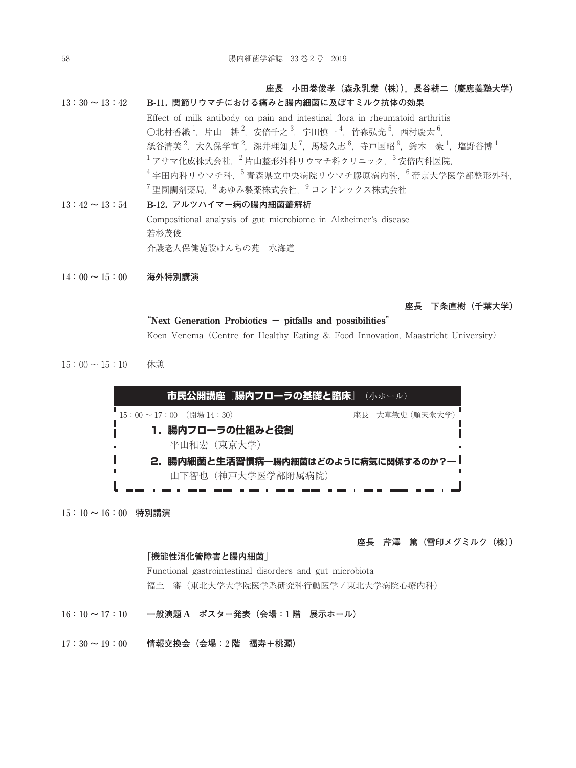### **座長 小田巻俊孝(森永乳業(株)),長谷耕二(慶應義塾大学)**

13**:**30 **~** 13**:**42 **B-**11**. 関節リウマチにおける痛みと腸内細菌に及ぼすミルク抗体の効果**

Effect of milk antibody on pain and intestinal flora in rheumatoid arthritis ○北村香織  $^1$ ,片山 耕  $^2$ ,安倍千之  $^3$ ,宇田慎一  $^4$ ,竹森弘光  $^5$ ,西村慶太  $^6$ , 紙谷清美 $^2$ ,大久保学宣 $^2$ ,深井理知夫 $^7$ ,馬場久志 $^8$ ,寺戸国昭 $^9$ ,鈴木 豪 $^1$ ,塩野谷博 $^1$  $^{-1}$ アサマ化成株式会社, $^{-2}$ 片山整形外科リウマチ科クリニック, $^{-3}$ 安倍内科医院,  $^{-4}$ 宇田内科リウマチ科,  $^{-5}$ 青森県立中央病院リウマチ膠原病内科,  $^{-6}$ 帝京大学医学部整形外科,  $^7$ 聖園調剤薬局,  $^8$ あゆみ製薬株式会社,  $^9$ コンドレックス株式会社 13**:**42 **~** 13**:**54 **B-**12**. アルツハイマー病の腸内細菌叢解析** Compositional analysis of gut microbiome in Alzheimer's disease 若杉茂俊 介護老人保健施設けんちの苑 水海道

14**:**00 **~** 15**:**00 **海外特別講演**

**座長 下条直樹(千葉大学)**

#### **"Next Generation Probiotics - pitfalls and possibilities"**

Koen Venema(Centre for Healthy Eating & Food Innovation, Maastricht University)

 $15:00 \sim 15:10$  休憩



15**:**10 **~** 16**:**00 **特別講演**

#### **座長 芹澤 篤(雪印メグミルク(株))**

#### **「機能性消化管障害と腸内細菌」**

Functional gastrointestinal disorders and gut microbiota 福土 審(東北大学大学院医学系研究科行動医学 / 東北大学病院心療内科)

- 16**:**10 **~** 17**:**10 **一般演題 A ポスター発表(会場:**1 **階 展示ホール)**
- 17**:**30 **~** 19**:**00 **情報交換会(会場:**2 **階 福寿+桃源)**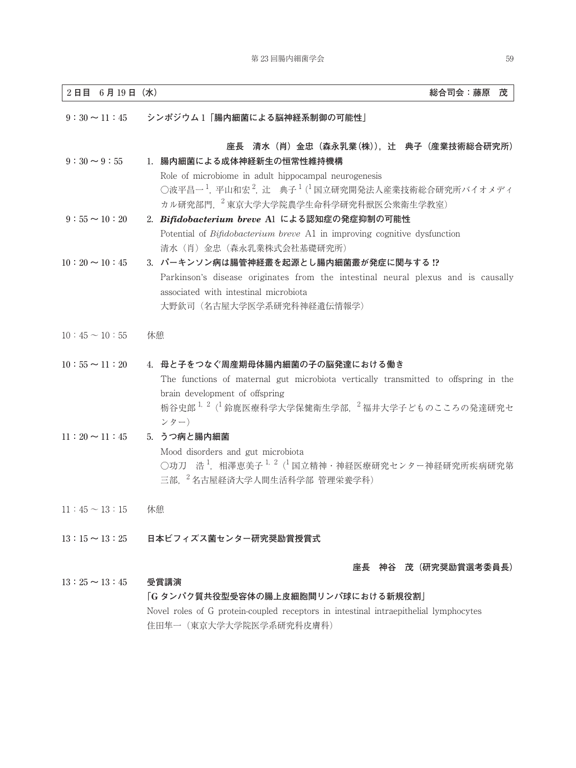| 2日目 6月19日 (水)         | 総合司会:藤原<br>茂                                                                                                                                                                                                                                           |
|-----------------------|--------------------------------------------------------------------------------------------------------------------------------------------------------------------------------------------------------------------------------------------------------|
| $9:30 \sim 11:45$     | シンポジウム1「腸内細菌による脳神経系制御の可能性」                                                                                                                                                                                                                             |
| $9:30 \sim 9:55$      | 座長 清水(肖)金忠(森永乳業(株)),辻 典子(産業技術総合研究所)<br>1. 腸内細菌による成体神経新生の恒常性維持機構<br>Role of microbiome in adult hippocampal neurogenesis<br>○波平昌一 <sup>1</sup> ,平山和宏 <sup>2</sup> , 辻 典子 <sup>1</sup> (1国立研究開発法人産業技術総合研究所バイオメディ<br>カル研究部門, 2 東京大学大学院農学生命科学研究科獣医公衆衛生学教室) |
| $9:55 \sim 10:20$     | 2. Bifidobacterium breve A1 による認知症の発症抑制の可能性<br>Potential of <i>Bifidobacterium breve</i> A1 in improving cognitive dysfunction<br>清水(肖)金忠(森永乳業株式会社基礎研究所)                                                                                               |
| $10:20 \sim 10:45$    | 3. パーキンソン病は腸管神経叢を起源とし腸内細菌叢が発症に関与する !?<br>Parkinson's disease originates from the intestinal neural plexus and is causally<br>associated with intestinal microbiota<br>大野欽司 (名古屋大学医学系研究科神経遺伝情報学)                                                        |
| $10:45 \sim 10:55$    | 休憩                                                                                                                                                                                                                                                     |
| $10:55 \sim 11:20$    | 4. 母と子をつなぐ周産期母体腸内細菌の子の脳発達における働き<br>The functions of maternal gut microbiota vertically transmitted to offspring in the<br>brain development of offspring<br>栃谷史郎 <sup>1,2</sup> ( <sup>1</sup> 鈴鹿医療科学大学保健衛生学部, <sup>2</sup> 福井大学子どものこころの発達研究セ<br>ンター)  |
| $11:20 \sim 11:45$    | 5. うつ病と腸内細菌<br>Mood disorders and gut microbiota<br>○功刀 浩 <sup>1</sup> ,相澤恵美子 <sup>1, 2</sup> ( <sup>1</sup> 国立精神・神経医療研究センター神経研究所疾病研究第<br>三部, <sup>2</sup> 名古屋経済大学人間生活科学部 管理栄養学科)                                                                      |
| $11:45 \sim 13:15$ 休憩 |                                                                                                                                                                                                                                                        |
|                       | 13:15 ~ 13:25 日本ビフィズス菌センター研究奨励賞授賞式                                                                                                                                                                                                                     |
|                       | 座長 神谷 茂(研究奨励賞選考委員長)                                                                                                                                                                                                                                    |
| $13:25 \sim 13:45$    | 受賞講演                                                                                                                                                                                                                                                   |

### **「G タンパク質共役型受容体の腸上皮細胞間リンパ球における新規役割」**

Novel roles of G protein-coupled receptors in intestinal intraepithelial lymphocytes 住田隼一(東京大学大学院医学系研究科皮膚科)